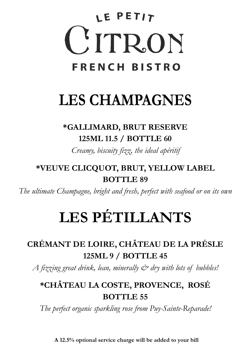# LE PETIT CITRON **FRENCH BISTRO**

## **LES CHAMPAGNES**

### **\*GALLIMARD, BRUT RESERVE 125ML 11.5 / BOTTLE 60**

*Creamy, biscuity fizz, the ideal apéritif*

### **\*VEUVE CLICQUOT, BRUT, YELLOW LABEL BOTTLE 89**

*The ultimate Champagne, bright and fresh, perfect with seafood or on its own* 

## **LES PÉTILLANTS**

## **CRÉMANT DE LOIRE, CHÂTEAU DE LA PRÉSLE 125ML 9 / BOTTLE 45**

*A fizzing great drink, lean, minerally & dry with lots of bubbles!*

### **\*CHÂTEAU LA COSTE, PROVENCE, ROSÉ BOTTLE 55**

*The perfect organic sparkling rose from Puy-Sainte-Reparade!*

**A 12.5% optional service charge will be added to your bill**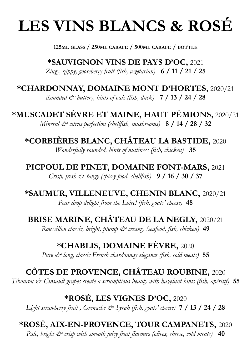## **LES VINS BLANCS & ROSÉ**

**125ML GLASS / 250ML CARAFE / 500ML CARAFE / BOTTLE**

**\*SAUVIGNON VINS DE PAYS D'OC,** 2021 *Zingy, zippy, gooseberry fruit (fish, vegetarian)* **6 / 11 / 21 / 25**

#### **\*CHARDONNAY, DOMAINE MONT D'HORTES,** 2020/21

*Rounded & buttery, hints of oak (fish, duck)* **7 / 13 / 24 / 28**

**\*MUSCADET SÈVRE ET MAINE, HAUT PÉMIONS,** 2020/21 *Mineral & citrus perfection (shellfish, mushrooms)* **8 / 14 / 28 / 32**

**\*CORBIÈRES BLANC, CHÂTEAU LA BASTIDE,** 2020 *Wonderfully rounded, hints of nuttiness (fish, chicken)* **35**

**PICPOUL DE PINET, DOMAINE FONT-MARS,** 2021 *Crisp, fresh & tangy (spicey food, shellfish)* **9 / 16 / 30 / 37**

**\*SAUMUR, VILLENEUVE, CHENIN BLANC,** 2020/21 *Pear drop delight from the Loire! (fish, goats' cheese)* **48**

**BRISE MARINE, CHÂTEAU DE LA NEGLY,** 2020/21

*Roussillon classic, bright, plump & creamy (seafood, fish, chicken)* **49**

#### **\*CHABLIS, DOMAINE FÈVRE,** 2020

*Pure & long, classic French chardonnay elegance (fish, cold meats)* **55**

#### **CÔTES DE PROVENCE, CHÂTEAU ROUBINE,** 2020

*Tibouron & Cinsault grapes create a scrumptious beauty with hazelnut hints (fish, apéritif)* **55**

#### **\*ROSÉ, LES VIGNES D'OC,** 2020

*Light strawberry fruit , Grenache & Syrah (fish, goats' cheese)* **7 / 13 / 24 / 28**

## **\*ROSÉ, AIX-EN-PROVENCE, TOUR CAMPANETS,** 2020

*Pale, bright*  $\breve{c}$  *crisp with smooth juicy fruit flavours (olives, cheese, cold meats)* 40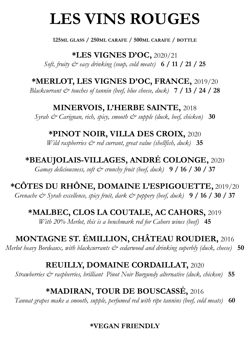## **LES VINS ROUGES**

**125ML GLASS / 250ML CARAFE / 500ML CARAFE / BOTTLE**

**\*LES VIGNES D'OC,** 2020/21 *Soft, fruity & easy drinking (soup, cold meats)* **6 / 11 / 21 / 25**

**\*MERLOT, LES VIGNES D'OC, FRANCE,** 2019/20

*Blackcurrant & touches of tannin (beef, blue cheese, duck)* **7 / 13 / 24 / 28**

**MINERVOIS, L'HERBE SAINTE,** 2018 *Syrah & Carignan, rich, spicy, smooth & supple (duck, beef, chicken)* **30**

**\*PINOT NOIR, VILLA DES CROIX,** 2020

*Wild raspberries & red currant, great value (shellfish, duck)* **35**

**\*BEAUJOLAIS-VILLAGES, ANDRÉ COLONGE,** 2020 *Gamay deliciousness, soft & crunchy fruit (beef, duck)* **9 / 16 / 30 / 37**

**\*CÔTES DU RHÔNE, DOMAINE L'ESPIGOUETTE,** 2019/20 *Grenache & Syrah excellence, spicy fruit, dark & peppery (beef, duck)* **9 / 16 / 30 / 37**

**\*MALBEC, CLOS LA COUTALE, AC CAHORS,** 2019

*With 20% Merlot, this is a benchmark red for Cahors wines (beef)* **45**

**MONTAGNE ST. ÉMILLION, CHÂTEAU ROUDIER,** 2016

*Merlot heavy Bordeaux, with blackcurrants*  $\dot{\mathcal{C}}$  *cedarwood and drinking superbly (duck, cheese)* **50** 

**REUILLY, DOMAINE CORDAILLAT,** 2020

*Strawberries*  $\breve{\mathcal{C}}$  *raspberries, brilliant Pinot Noir Burgundy alternative (duck, chicken)* **55** 

#### **\*MADIRAN, TOUR DE BOUSCASSÉ,** 2016

*Tannat grapes make a smooth, supple, perfumed red with ripe tannins (beef, cold meats)* **60**

#### **\*VEGAN FRIENDLY**